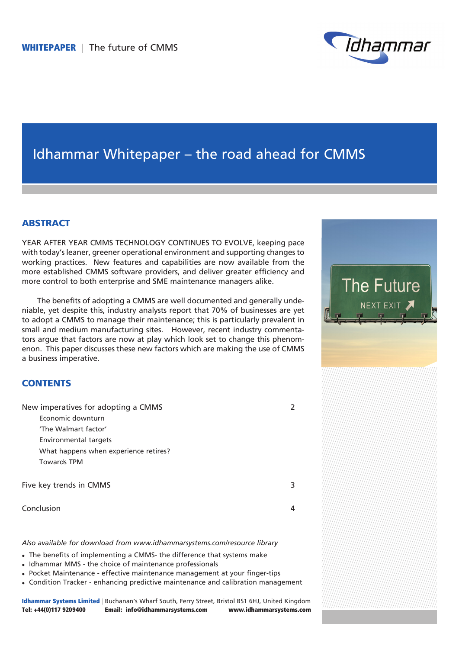

# Idhammar Whitepaper – the road ahead for CMMS

## **ABSTRACT**

YEAR AFTER YEAR CMMS TECHNOLOGY CONTINUES TO EVOLVE, keeping pace with today's leaner, greener operational environment and supporting changes to working practices. New features and capabilities are now available from the more established CMMS software providers, and deliver greater efficiency and more control to both enterprise and SME maintenance managers alike.

The benefits of adopting a CMMS are well documented and generally undeniable, yet despite this, industry analysts report that 70% of businesses are yet to adopt a CMMS to manage their maintenance; this is particularly prevalent in small and medium manufacturing sites. However, recent industry commentators argue that factors are now at play which look set to change this phenomenon. This paper discusses these new factors which are making the use of CMMS a business imperative.

## **CONTENTS**

New imperatives for adopting a CMMS 2 Economic downturn 'The Walmart factor' Environmental targets What happens when experience retires? Towards TPM Five key trends in CMMS 3 Conclusion 4

*Also available for download from www.idhammarsystems.com/resource library*

- The benefits of implementing a CMMS- the difference that systems make
- Idhammar MMS the choice of maintenance professionals
- Pocket Maintenance effective maintenance management at your finger-tips
- Condition Tracker enhancing predictive maintenance and calibration management

Idhammar Systems Limited | Buchanan's Wharf South, Ferry Street, Bristol BS1 6HJ, United Kingdom Tel: +44(0)117 9209400 Email: info@idhammarsystems.com www.idhammarsystems.com

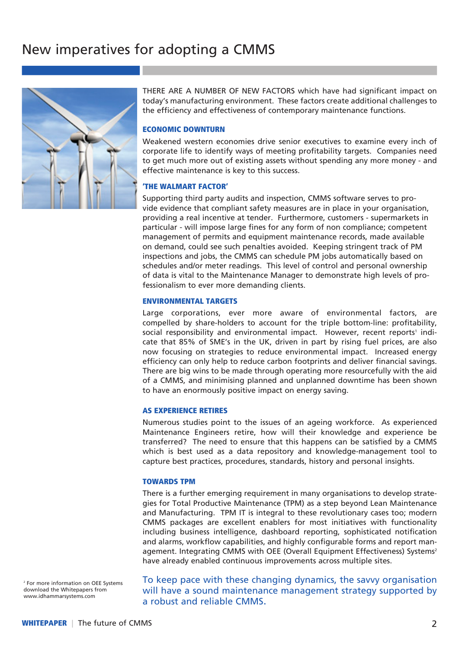# New imperatives for adopting a CMMS



THERE ARE A NUMBER OF NEW FACTORS which have had significant impact on today's manufacturing environment. These factors create additional challenges to the efficiency and effectiveness of contemporary maintenance functions.

#### ECONOMIC DOWNTURN

Weakened western economies drive senior executives to examine every inch of corporate life to identify ways of meeting profitability targets. Companies need to get much more out of existing assets without spending any more money - and effective maintenance is key to this success.

### 'THE WALMART FACTOR'

Supporting third party audits and inspection, CMMS software serves to provide evidence that compliant safety measures are in place in your organisation, providing a real incentive at tender. Furthermore, customers - supermarkets in particular - will impose large fines for any form of non compliance; competent management of permits and equipment maintenance records, made available on demand, could see such penalties avoided. Keeping stringent track of PM inspections and jobs, the CMMS can schedule PM jobs automatically based on schedules and/or meter readings. This level of control and personal ownership of data is vital to the Maintenance Manager to demonstrate high levels of professionalism to ever more demanding clients.

### ENVIRONMENTAL TARGETS

Large corporations, ever more aware of environmental factors, are compelled by share-holders to account for the triple bottom-line: profitability, social responsibility and environmental impact. However, recent reports<sup>1</sup> indicate that 85% of SME's in the UK, driven in part by rising fuel prices, are also now focusing on strategies to reduce environmental impact. Increased energy efficiency can only help to reduce carbon footprints and deliver financial savings. There are big wins to be made through operating more resourcefully with the aid of a CMMS, and minimising planned and unplanned downtime has been shown to have an enormously positive impact on energy saving.

### AS EXPERIENCE RETIRES

Numerous studies point to the issues of an ageing workforce. As experienced Maintenance Engineers retire, how will their knowledge and experience be transferred? The need to ensure that this happens can be satisfied by a CMMS which is best used as a data repository and knowledge-management tool to capture best practices, procedures, standards, history and personal insights.

#### TOWARDS TPM

There is a further emerging requirement in many organisations to develop strategies for Total Productive Maintenance (TPM) as a step beyond Lean Maintenance and Manufacturing. TPM IT is integral to these revolutionary cases too; modern CMMS packages are excellent enablers for most initiatives with functionality including business intelligence, dashboard reporting, sophisticated notification and alarms, workflow capabilities, and highly configurable forms and report management. Integrating CMMS with OEE (Overall Equipment Effectiveness) Systems<sup>2</sup> have already enabled continuous improvements across multiple sites.

2 For more information on OEE Systems download the Whitepapers from www.idhammarsystems.com

To keep pace with these changing dynamics, the savvy organisation will have a sound maintenance management strategy supported by a robust and reliable CMMS.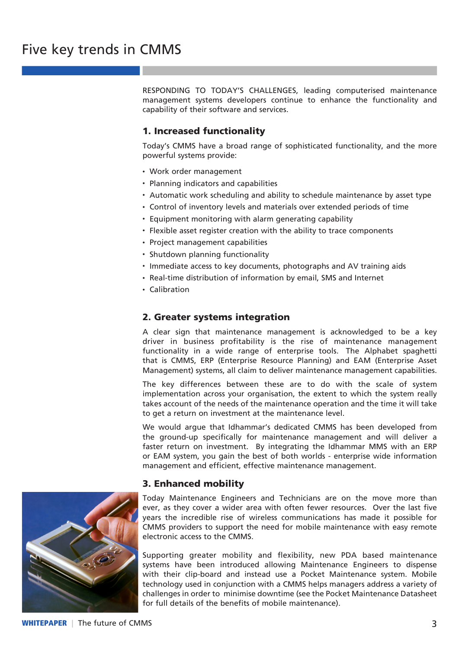RESPONDING TO TODAY'S CHALLENGES, leading computerised maintenance management systems developers continue to enhance the functionality and capability of their software and services.

## 1. Increased functionality

Today's CMMS have a broad range of sophisticated functionality, and the more powerful systems provide:

- Work order management
- Planning indicators and capabilities
- Automatic work scheduling and ability to schedule maintenance by asset type
- Control of inventory levels and materials over extended periods of time
- Equipment monitoring with alarm generating capability
- Flexible asset register creation with the ability to trace components
- Project management capabilities
- Shutdown planning functionality
- Immediate access to key documents, photographs and AV training aids
- Real-time distribution of information by email, SMS and Internet
- Calibration

## 2. Greater systems integration

A clear sign that maintenance management is acknowledged to be a key driver in business profitability is the rise of maintenance management functionality in a wide range of enterprise tools. The Alphabet spaghetti that is CMMS, ERP (Enterprise Resource Planning) and EAM (Enterprise Asset Management) systems, all claim to deliver maintenance management capabilities.

The key differences between these are to do with the scale of system implementation across your organisation, the extent to which the system really takes account of the needs of the maintenance operation and the time it will take to get a return on investment at the maintenance level.

We would argue that Idhammar's dedicated CMMS has been developed from the ground-up specifically for maintenance management and will deliver a faster return on investment. By integrating the Idhammar MMS with an ERP or EAM system, you gain the best of both worlds - enterprise wide information management and efficient, effective maintenance management.

## 3. Enhanced mobility



Today Maintenance Engineers and Technicians are on the move more than ever, as they cover a wider area with often fewer resources. Over the last five years the incredible rise of wireless communications has made it possible for CMMS providers to support the need for mobile maintenance with easy remote electronic access to the CMMS.

Supporting greater mobility and flexibility, new PDA based maintenance systems have been introduced allowing Maintenance Engineers to dispense with their clip-board and instead use a Pocket Maintenance system. Mobile technology used in conjunction with a CMMS helps managers address a variety of challenges in order to minimise downtime (see the Pocket Maintenance Datasheet for full details of the benefits of mobile maintenance).